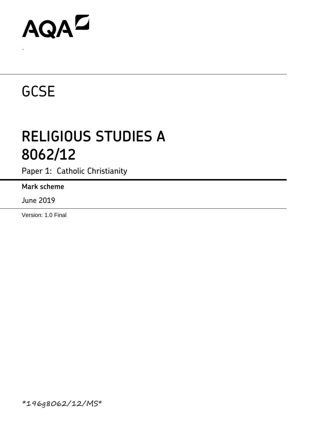# AQAZ

## **GCSE**

.

### **RELIGIOUS STUDIES A 8062/12**

Paper 1: Catholic Christianity

#### **Mark scheme**

June 2019

Version: 1.0 Final

\*196g8062/12/MS\*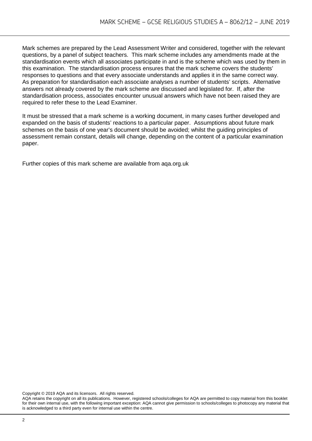Mark schemes are prepared by the Lead Assessment Writer and considered, together with the relevant questions, by a panel of subject teachers. This mark scheme includes any amendments made at the standardisation events which all associates participate in and is the scheme which was used by them in this examination. The standardisation process ensures that the mark scheme covers the students' responses to questions and that every associate understands and applies it in the same correct way. As preparation for standardisation each associate analyses a number of students' scripts. Alternative answers not already covered by the mark scheme are discussed and legislated for. If, after the standardisation process, associates encounter unusual answers which have not been raised they are required to refer these to the Lead Examiner.

It must be stressed that a mark scheme is a working document, in many cases further developed and expanded on the basis of students' reactions to a particular paper. Assumptions about future mark schemes on the basis of one year's document should be avoided; whilst the guiding principles of assessment remain constant, details will change, depending on the content of a particular examination paper.

Further copies of this mark scheme are available from aqa.org.uk

Copyright © 2019 AQA and its licensors. All rights reserved.

AQA retains the copyright on all its publications. However, registered schools/colleges for AQA are permitted to copy material from this booklet for their own internal use, with the following important exception: AQA cannot give permission to schools/colleges to photocopy any material that is acknowledged to a third party even for internal use within the centre.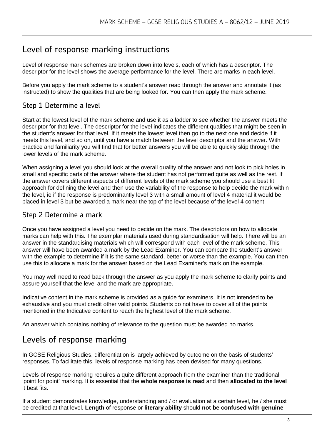### Level of response marking instructions

Level of response mark schemes are broken down into levels, each of which has a descriptor. The descriptor for the level shows the average performance for the level. There are marks in each level.

Before you apply the mark scheme to a student's answer read through the answer and annotate it (as instructed) to show the qualities that are being looked for. You can then apply the mark scheme.

#### Step 1 Determine a level

Start at the lowest level of the mark scheme and use it as a ladder to see whether the answer meets the descriptor for that level. The descriptor for the level indicates the different qualities that might be seen in the student's answer for that level. If it meets the lowest level then go to the next one and decide if it meets this level, and so on, until you have a match between the level descriptor and the answer. With practice and familiarity you will find that for better answers you will be able to quickly skip through the lower levels of the mark scheme.

When assigning a level you should look at the overall quality of the answer and not look to pick holes in small and specific parts of the answer where the student has not performed quite as well as the rest. If the answer covers different aspects of different levels of the mark scheme you should use a best fit approach for defining the level and then use the variability of the response to help decide the mark within the level, ie if the response is predominantly level 3 with a small amount of level 4 material it would be placed in level 3 but be awarded a mark near the top of the level because of the level 4 content.

#### Step 2 Determine a mark

Once you have assigned a level you need to decide on the mark. The descriptors on how to allocate marks can help with this. The exemplar materials used during standardisation will help. There will be an answer in the standardising materials which will correspond with each level of the mark scheme. This answer will have been awarded a mark by the Lead Examiner. You can compare the student's answer with the example to determine if it is the same standard, better or worse than the example. You can then use this to allocate a mark for the answer based on the Lead Examiner's mark on the example.

You may well need to read back through the answer as you apply the mark scheme to clarify points and assure yourself that the level and the mark are appropriate.

Indicative content in the mark scheme is provided as a guide for examiners. It is not intended to be exhaustive and you must credit other valid points. Students do not have to cover all of the points mentioned in the Indicative content to reach the highest level of the mark scheme.

An answer which contains nothing of relevance to the question must be awarded no marks.

#### Levels of response marking

In GCSE Religious Studies, differentiation is largely achieved by outcome on the basis of students' responses. To facilitate this, levels of response marking has been devised for many questions.

Levels of response marking requires a quite different approach from the examiner than the traditional 'point for point' marking. It is essential that the **whole response is read** and then **allocated to the level**  it best fits.

If a student demonstrates knowledge, understanding and / or evaluation at a certain level, he / she must be credited at that level. **Length** of response or **literary ability** should **not be confused with genuine**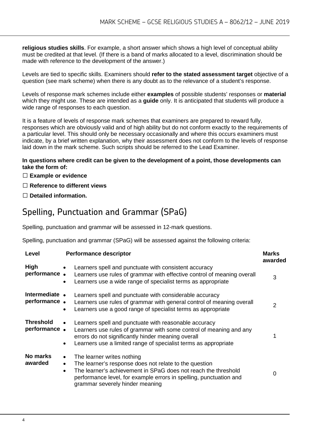**religious studies skills**. For example, a short answer which shows a high level of conceptual ability must be credited at that level. (If there is a band of marks allocated to a level, discrimination should be made with reference to the development of the answer.)

Levels are tied to specific skills. Examiners should **refer to the stated assessment target** objective of a question (see mark scheme) when there is any doubt as to the relevance of a student's response.

Levels of response mark schemes include either **examples** of possible students' responses or **material**  which they might use. These are intended as a **guide** only. It is anticipated that students will produce a wide range of responses to each question.

It is a feature of levels of response mark schemes that examiners are prepared to reward fully, responses which are obviously valid and of high ability but do not conform exactly to the requirements of a particular level. This should only be necessary occasionally and where this occurs examiners must indicate, by a brief written explanation, why their assessment does not conform to the levels of response laid down in the mark scheme. Such scripts should be referred to the Lead Examiner.

#### **In questions where credit can be given to the development of a point, those developments can take the form of:**

#### **Example or evidence**

- **Reference to different views**
- **Detailed information.**

### Spelling, Punctuation and Grammar (SPaG)

Spelling, punctuation and grammar will be assessed in 12-mark questions.

Spelling, punctuation and grammar (SPaG) will be assessed against the following criteria:

| Level                            | <b>Performance descriptor</b>                                                                                                                                                                                                                                                                          | <b>Marks</b><br>awarded |
|----------------------------------|--------------------------------------------------------------------------------------------------------------------------------------------------------------------------------------------------------------------------------------------------------------------------------------------------------|-------------------------|
| High<br>performance.             | Learners spell and punctuate with consistent accuracy<br>$\bullet$<br>Learners use rules of grammar with effective control of meaning overall<br>Learners use a wide range of specialist terms as appropriate<br>$\bullet$                                                                             | 3                       |
| Intermediate •<br>performance.   | Learners spell and punctuate with considerable accuracy<br>Learners use rules of grammar with general control of meaning overall<br>Learners use a good range of specialist terms as appropriate<br>$\bullet$                                                                                          | $\mathcal{P}$           |
| <b>Threshold</b><br>performance. | Learners spell and punctuate with reasonable accuracy<br>$\bullet$<br>Learners use rules of grammar with some control of meaning and any<br>errors do not significantly hinder meaning overall<br>Learners use a limited range of specialist terms as appropriate                                      |                         |
| No marks<br>awarded              | The learner writes nothing<br>$\bullet$<br>The learner's response does not relate to the question<br>$\bullet$<br>The learner's achievement in SPaG does not reach the threshold<br>$\bullet$<br>performance level, for example errors in spelling, punctuation and<br>grammar severely hinder meaning | O                       |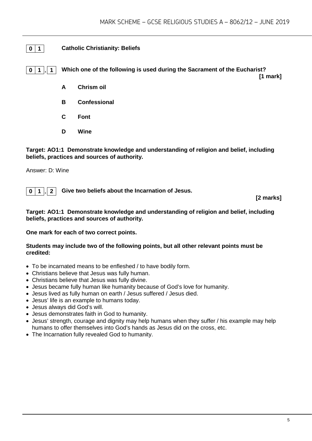#### **0 1 Catholic Christianity: Beliefs**

**0 1 . 1 Which one of the following is used during the Sacrament of the Eucharist?**

**[1 mark]**

- **A Chrism oil**
- **B Confessional**
- **C Font**
- **D Wine**

**Target: AO1:1 Demonstrate knowledge and understanding of religion and belief, including beliefs, practices and sources of authority.**

Answer: D: Wine

**0 1 . 2 Give two beliefs about the Incarnation of Jesus.**

**[2 marks]**

#### **Target: AO1:1 Demonstrate knowledge and understanding of religion and belief, including beliefs, practices and sources of authority.**

**One mark for each of two correct points.** 

#### **Students may include two of the following points, but all other relevant points must be credited:**

- To be incarnated means to be enfleshed / to have bodily form.
- Christians believe that Jesus was fully human.
- Christians believe that Jesus was fully divine.
- Jesus became fully human like humanity because of God's love for humanity.
- Jesus lived as fully human on earth / Jesus suffered / Jesus died.
- Jesus' life is an example to humans today.
- Jesus always did God's will.
- Jesus demonstrates faith in God to humanity.
- Jesus' strength, courage and dignity may help humans when they suffer / his example may help humans to offer themselves into God's hands as Jesus did on the cross, etc.
- The Incarnation fully revealed God to humanity.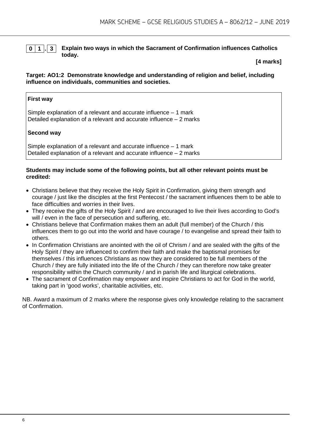

**0 1 . 3 Explain two ways in which the Sacrament of Confirmation influences Catholics today.**

**[4 marks]**

#### **Target: AO1:2 Demonstrate knowledge and understanding of religion and belief, including influence on individuals, communities and societies.**

#### **First way**

Simple explanation of a relevant and accurate influence – 1 mark Detailed explanation of a relevant and accurate influence – 2 marks

#### **Second way**

Simple explanation of a relevant and accurate influence – 1 mark Detailed explanation of a relevant and accurate influence – 2 marks

#### **Students may include some of the following points, but all other relevant points must be credited:**

- Christians believe that they receive the Holy Spirit in Confirmation, giving them strength and courage / just like the disciples at the first Pentecost / the sacrament influences them to be able to face difficulties and worries in their lives.
- They receive the gifts of the Holy Spirit / and are encouraged to live their lives according to God's will / even in the face of persecution and suffering, etc.
- Christians believe that Confirmation makes them an adult (full member) of the Church / this influences them to go out into the world and have courage / to evangelise and spread their faith to others.
- In Confirmation Christians are anointed with the oil of Chrism / and are sealed with the gifts of the Holy Spirit / they are influenced to confirm their faith and make the baptismal promises for themselves / this influences Christians as now they are considered to be full members of the Church / they are fully initiated into the life of the Church / they can therefore now take greater responsibility within the Church community / and in parish life and liturgical celebrations.
- The sacrament of Confirmation may empower and inspire Christians to act for God in the world, taking part in 'good works', charitable activities, etc.

NB. Award a maximum of 2 marks where the response gives only knowledge relating to the sacrament of Confirmation.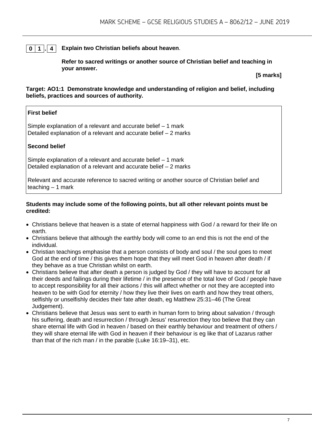#### **0 1 . 4 Explain two Christian beliefs about heaven**.

**Refer to sacred writings or another source of Christian belief and teaching in your answer.**

**[5 marks]**

#### **Target: AO1:1 Demonstrate knowledge and understanding of religion and belief, including beliefs, practices and sources of authority.**

#### **First belief**

Simple explanation of a relevant and accurate belief – 1 mark Detailed explanation of a relevant and accurate belief – 2 marks

#### **Second belief**

Simple explanation of a relevant and accurate belief – 1 mark Detailed explanation of a relevant and accurate belief – 2 marks

Relevant and accurate reference to sacred writing or another source of Christian belief and teaching – 1 mark

#### **Students may include some of the following points, but all other relevant points must be credited:**

- Christians believe that heaven is a state of eternal happiness with God / a reward for their life on earth.
- Christians believe that although the earthly body will come to an end this is not the end of the individual.
- Christian teachings emphasise that a person consists of body and soul / the soul goes to meet God at the end of time / this gives them hope that they will meet God in heaven after death / if they behave as a true Christian whilst on earth.
- Christians believe that after death a person is judged by God / they will have to account for all their deeds and failings during their lifetime / in the presence of the total love of God / people have to accept responsibility for all their actions / this will affect whether or not they are accepted into heaven to be with God for eternity / how they live their lives on earth and how they treat others, selfishly or unselfishly decides their fate after death, eg Matthew 25:31–46 (The Great Judgement).
- Christians believe that Jesus was sent to earth in human form to bring about salvation / through his suffering, death and resurrection / through Jesus' resurrection they too believe that they can share eternal life with God in heaven / based on their earthly behaviour and treatment of others / they will share eternal life with God in heaven if their behaviour is eg like that of Lazarus rather than that of the rich man / in the parable (Luke 16:19–31), etc.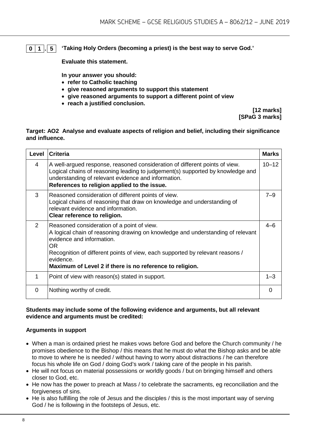#### **0 1 . 5 'Taking Holy Orders (becoming a priest) is the best way to serve God.'**

**Evaluate this statement.** 

**In your answer you should:**

- **refer to Catholic teaching**
- **give reasoned arguments to support this statement**
- **give reasoned arguments to support a different point of view**
- **reach a justified conclusion.**

**[12 marks] [SPaG 3 marks]**

#### **Target: AO2 Analyse and evaluate aspects of religion and belief, including their significance and influence.**

| Level    | <b>Criteria</b>                                                                                                                                                                                                                                                                                                            | <b>Marks</b> |
|----------|----------------------------------------------------------------------------------------------------------------------------------------------------------------------------------------------------------------------------------------------------------------------------------------------------------------------------|--------------|
| 4        | A well-argued response, reasoned consideration of different points of view.<br>Logical chains of reasoning leading to judgement(s) supported by knowledge and<br>understanding of relevant evidence and information.<br>References to religion applied to the issue.                                                       | $10 - 12$    |
| 3        | Reasoned consideration of different points of view.<br>Logical chains of reasoning that draw on knowledge and understanding of<br>relevant evidence and information.<br>Clear reference to religion.                                                                                                                       | $7 - 9$      |
| 2        | Reasoned consideration of a point of view.<br>A logical chain of reasoning drawing on knowledge and understanding of relevant<br>evidence and information.<br>0R<br>Recognition of different points of view, each supported by relevant reasons /<br>evidence.<br>Maximum of Level 2 if there is no reference to religion. | $4 - 6$      |
| 1        | Point of view with reason(s) stated in support.                                                                                                                                                                                                                                                                            | $1 - 3$      |
| $\Omega$ | Nothing worthy of credit.                                                                                                                                                                                                                                                                                                  | $\Omega$     |

#### **Students may include some of the following evidence and arguments, but all relevant evidence and arguments must be credited:**

#### **Arguments in support**

- When a man is ordained priest he makes vows before God and before the Church community / he promises obedience to the Bishop / this means that he must do what the Bishop asks and be able to move to where he is needed / without having to worry about distractions / he can therefore focus his whole life on God / doing God's work / taking care of the people in his parish.
- He will not focus on material possessions or worldly goods / but on bringing himself and others closer to God, etc.
- He now has the power to preach at Mass / to celebrate the sacraments, eg reconciliation and the forgiveness of sins.
- He is also fulfilling the role of Jesus and the disciples / this is the most important way of serving God / he is following in the footsteps of Jesus, etc.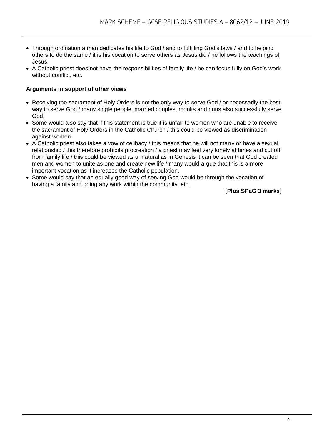- Through ordination a man dedicates his life to God / and to fulfilling God's laws / and to helping others to do the same / it is his vocation to serve others as Jesus did / he follows the teachings of Jesus.
- A Catholic priest does not have the responsibilities of family life / he can focus fully on God's work without conflict, etc.

#### **Arguments in support of other views**

- Receiving the sacrament of Holy Orders is not the only way to serve God / or necessarily the best way to serve God / many single people, married couples, monks and nuns also successfully serve God.
- Some would also say that if this statement is true it is unfair to women who are unable to receive the sacrament of Holy Orders in the Catholic Church / this could be viewed as discrimination against women.
- A Catholic priest also takes a vow of celibacy / this means that he will not marry or have a sexual relationship / this therefore prohibits procreation / a priest may feel very lonely at times and cut off from family life / this could be viewed as unnatural as in Genesis it can be seen that God created men and women to unite as one and create new life / many would argue that this is a more important vocation as it increases the Catholic population.
- Some would say that an equally good way of serving God would be through the vocation of having a family and doing any work within the community, etc.

**[Plus SPaG 3 marks]**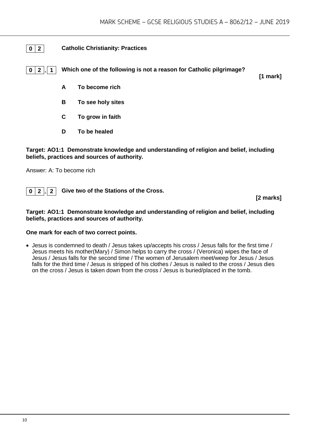#### **0 2 Catholic Christianity: Practices**

**0 2 . 1 Which one of the following is not a reason for Catholic pilgrimage?**

**[1 mark]**

- **A To become rich**
- **B To see holy sites**
- **C To grow in faith**
- **D To be healed**

**Target: AO1:1 Demonstrate knowledge and understanding of religion and belief, including beliefs, practices and sources of authority.**

Answer: A: To become rich



**[2 marks]**

#### **Target: AO1:1 Demonstrate knowledge and understanding of religion and belief, including beliefs, practices and sources of authority.**

#### **One mark for each of two correct points.**

• Jesus is condemned to death / Jesus takes up/accepts his cross / Jesus falls for the first time / Jesus meets his mother(Mary) / Simon helps to carry the cross / (Veronica) wipes the face of Jesus / Jesus falls for the second time / The women of Jerusalem meet/weep for Jesus / Jesus falls for the third time / Jesus is stripped of his clothes / Jesus is nailed to the cross / Jesus dies on the cross / Jesus is taken down from the cross / Jesus is buried/placed in the tomb.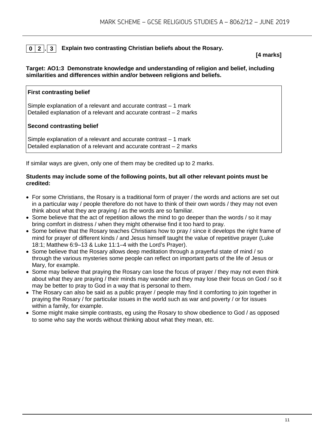#### **0 2 . 3 Explain two contrasting Christian beliefs about the Rosary.**

**[4 marks]**

#### **Target: AO1:3 Demonstrate knowledge and understanding of religion and belief, including similarities and differences within and/or between religions and beliefs.**

#### **First contrasting belief**

Simple explanation of a relevant and accurate contrast – 1 mark Detailed explanation of a relevant and accurate contrast – 2 marks

#### **Second contrasting belief**

Simple explanation of a relevant and accurate contrast – 1 mark Detailed explanation of a relevant and accurate contrast – 2 marks

If similar ways are given, only one of them may be credited up to 2 marks.

#### **Students may include some of the following points, but all other relevant points must be credited:**

- For some Christians, the Rosary is a traditional form of prayer / the words and actions are set out in a particular way / people therefore do not have to think of their own words / they may not even think about what they are praying / as the words are so familiar.
- Some believe that the act of repetition allows the mind to go deeper than the words / so it may bring comfort in distress / when they might otherwise find it too hard to pray.
- Some believe that the Rosary teaches Christians how to pray / since it develops the right frame of mind for prayer of different kinds / and Jesus himself taught the value of repetitive prayer (Luke 18:1; Matthew 6:9–13 & Luke 11:1–4 with the Lord's Prayer).
- Some believe that the Rosary allows deep meditation through a prayerful state of mind / so through the various mysteries some people can reflect on important parts of the life of Jesus or Mary, for example.
- Some may believe that praying the Rosary can lose the focus of prayer / they may not even think about what they are praying / their minds may wander and they may lose their focus on God / so it may be better to pray to God in a way that is personal to them.
- The Rosary can also be said as a public prayer / people may find it comforting to join together in praying the Rosary / for particular issues in the world such as war and poverty / or for issues within a family, for example.
- Some might make simple contrasts, eg using the Rosary to show obedience to God / as opposed to some who say the words without thinking about what they mean, etc.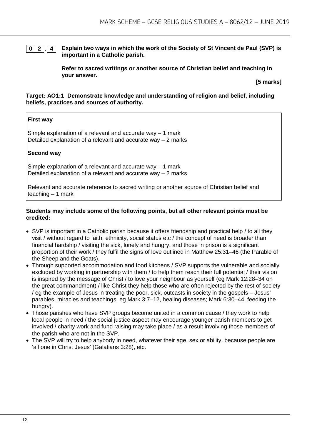#### **0 2 . 4 Explain two ways in which the work of the Society of St Vincent de Paul (SVP) is important in a Catholic parish.**

**Refer to sacred writings or another source of Christian belief and teaching in your answer.**

**[5 marks]**

#### **Target: AO1:1 Demonstrate knowledge and understanding of religion and belief, including beliefs, practices and sources of authority.**

#### **First way**

Simple explanation of a relevant and accurate way  $-1$  mark Detailed explanation of a relevant and accurate way – 2 marks

#### **Second way**

Simple explanation of a relevant and accurate way – 1 mark Detailed explanation of a relevant and accurate way – 2 marks

Relevant and accurate reference to sacred writing or another source of Christian belief and teaching – 1 mark

#### **Students may include some of the following points, but all other relevant points must be credited:**

- SVP is important in a Catholic parish because it offers friendship and practical help / to all they visit / without regard to faith, ethnicity, social status etc / the concept of need is broader than financial hardship / visiting the sick, lonely and hungry, and those in prison is a significant proportion of their work / they fulfil the signs of love outlined in Matthew 25:31–46 (the Parable of the Sheep and the Goats).
- Through supported accommodation and food kitchens / SVP supports the vulnerable and socially excluded by working in partnership with them / to help them reach their full potential / their vision is inspired by the message of Christ / to love your neighbour as yourself (eg Mark 12:28–34 on the great commandment) / like Christ they help those who are often rejected by the rest of society / eg the example of Jesus in treating the poor, sick, outcasts in society in the gospels – Jesus' parables, miracles and teachings, eg Mark 3:7–12, healing diseases; Mark 6:30–44, feeding the hungry).
- Those parishes who have SVP groups become united in a common cause / they work to help local people in need / the social justice aspect may encourage younger parish members to get involved / charity work and fund raising may take place / as a result involving those members of the parish who are not in the SVP.
- The SVP will try to help anybody in need, whatever their age, sex or ability, because people are 'all one in Christ Jesus' (Galatians 3:28), etc.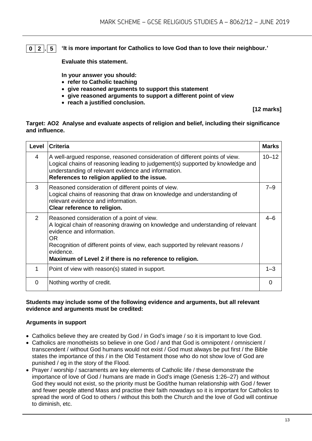**0 2 . 5 'It is more important for Catholics to love God than to love their neighbour.'**

**Evaluate this statement.** 

**In your answer you should:**

- **refer to Catholic teaching**
- **give reasoned arguments to support this statement**
- **give reasoned arguments to support a different point of view**
- **reach a justified conclusion.**

**[12 marks]**

#### **Target: AO2 Analyse and evaluate aspects of religion and belief, including their significance and influence.**

| Level          | <b>Criteria</b>                                                                                                                                                                                                                                                                                                             | <b>Marks</b> |
|----------------|-----------------------------------------------------------------------------------------------------------------------------------------------------------------------------------------------------------------------------------------------------------------------------------------------------------------------------|--------------|
| 4              | A well-argued response, reasoned consideration of different points of view.<br>Logical chains of reasoning leading to judgement(s) supported by knowledge and<br>understanding of relevant evidence and information.<br>References to religion applied to the issue.                                                        | $10 - 12$    |
| 3              | Reasoned consideration of different points of view.<br>Logical chains of reasoning that draw on knowledge and understanding of<br>relevant evidence and information.<br>Clear reference to religion.                                                                                                                        | $7 - 9$      |
| $\overline{2}$ | Reasoned consideration of a point of view.<br>A logical chain of reasoning drawing on knowledge and understanding of relevant<br>evidence and information.<br>OR.<br>Recognition of different points of view, each supported by relevant reasons /<br>evidence.<br>Maximum of Level 2 if there is no reference to religion. | $4 - 6$      |
| 1              | Point of view with reason(s) stated in support.                                                                                                                                                                                                                                                                             | $1 - 3$      |
| 0              | Nothing worthy of credit.                                                                                                                                                                                                                                                                                                   | $\Omega$     |

#### **Students may include some of the following evidence and arguments, but all relevant evidence and arguments must be credited:**

#### **Arguments in support**

- Catholics believe they are created by God / in God's image / so it is important to love God.
- Catholics are monotheists so believe in one God / and that God is omnipotent / omniscient / transcendent / without God humans would not exist / God must always be put first / the Bible states the importance of this / in the Old Testament those who do not show love of God are punished / eg in the story of the Flood.
- Prayer / worship / sacraments are key elements of Catholic life / these demonstrate the importance of love of God / humans are made in God's image (Genesis 1:26–27) and without God they would not exist, so the priority must be God/the human relationship with God / fewer and fewer people attend Mass and practise their faith nowadays so it is important for Catholics to spread the word of God to others / without this both the Church and the love of God will continue to diminish, etc.